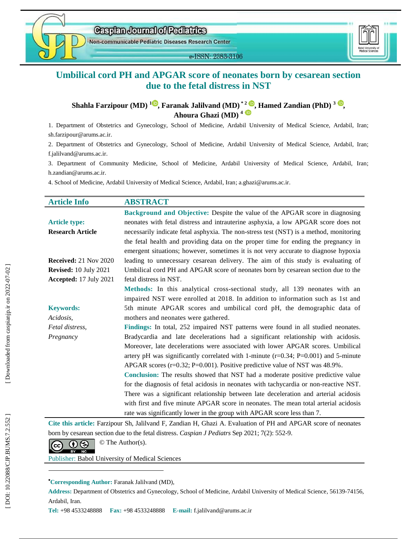

e-ISSN: 2383-3106



# **Umbilical cord PH and APGAR score of neonates born by cesarean section due to the fetal distress in NST**

Shahla Farzipour (MD)  $^{1\textcircled{\tiny{\textcircled{\tiny\circ}}}}$ [,](https://orcid.org/0000-0002-1284-5823) Faranak Jalilvand (MD)  $^{*2\textcircled{\tiny{\textcircled{\tiny\circ}}}}$ , Hamed Zandian (PhD)  $^{3\textcircled{\tiny{\textcircled{\tiny\circ}}}}$ , **Ahoura Ghazi ( M D ) 4**

1. Department of Obstetrics and Gynecology, School of Medicine, Ardabil University of Medical Science, Ardabil, Iran ; sh.farzipour@arums.ac.ir .

2. Department of Obstetrics and Gynecology, School of Medicine, Ardabil University of Medical Science, Ardabil, Iran ; f .jalilvand@arums.ac.ir .

3 . Department of Community Medicine, School of Medicine, Ardabil University of Medical Science, Ardabil, Iran ; h.zandian@arums.ac.ir .

4. School of Medicine, Ardabil University of Medical Science, Ardabil, Iran; a.ghazi@arums.ac.ir.

| <b>Article Info</b>          | <b>ABSTRACT</b>                                                                        |
|------------------------------|----------------------------------------------------------------------------------------|
|                              | Background and Objective: Despite the value of the APGAR score in diagnosing           |
| <b>Article type:</b>         | neonates with fetal distress and intrauterine asphyxia, a low APGAR score does not     |
| <b>Research Article</b>      | necessarily indicate fetal asphyxia. The non-stress test (NST) is a method, monitoring |
|                              | the fetal health and providing data on the proper time for ending the pregnancy in     |
|                              | emergent situations; however, sometimes it is not very accurate to diagnose hypoxia    |
| <b>Received:</b> 21 Nov 2020 | leading to unnecessary cesarean delivery. The aim of this study is evaluating of       |
| <b>Revised:</b> 10 July 2021 | Umbilical cord PH and APGAR score of neonates born by cesarean section due to the      |
| Accepted: 17 July 2021       | fetal distress in NST.                                                                 |
|                              | Methods: In this analytical cross-sectional study, all 139 neonates with an            |
|                              | impaired NST were enrolled at 2018. In addition to information such as 1st and         |
| <b>Keywords:</b>             | 5th minute APGAR scores and umbilical cord pH, the demographic data of                 |
| Acidosis,                    | mothers and neonates were gathered.                                                    |
| Fetal distress,              | Findings: In total, 252 impaired NST patterns were found in all studied neonates.      |
| Pregnancy                    | Bradycardia and late decelerations had a significant relationship with acidosis.       |
|                              | Moreover, late decelerations were associated with lower APGAR scores. Umbilical        |
|                              | artery pH was significantly correlated with 1-minute $(r=0.34; P=0.001)$ and 5-minute  |
|                              | APGAR scores $(r=0.32; P=0.001)$ . Positive predictive value of NST was 48.9%.         |
|                              | Conclusion: The results showed that NST had a moderate positive predictive value       |
|                              | for the diagnosis of fetal acidosis in neonates with tachycardia or non-reactive NST.  |
|                              | There was a significant relationship between late deceleration and arterial acidosis   |
|                              | with first and five minute APGAR score in neonates. The mean total arterial acidosis   |
|                              | rate was significantly lower in the group with APGAR score less than 7.                |

**Cite this article:** Farzipour Sh, Jalilvand F, Zandian H, Ghazi A. Evaluation of PH and APGAR score of neonates born by cesarean section due to the fetal distress. *Caspian J Pediatrs* Sep 2021; 7(2): 552-9.

 $\overline{\mathbf{c}}$   $\overline{\mathbf{c}}$   $\overline{\mathbf{c}}$   $\overline{\mathbf{c}}$   $\overline{\mathbf{c}}$   $\overline{\mathbf{c}}$   $\overline{\mathbf{c}}$   $\overline{\mathbf{c}}$   $\overline{\mathbf{c}}$   $\overline{\mathbf{c}}$   $\overline{\mathbf{c}}$   $\overline{\mathbf{c}}$   $\overline{\mathbf{c}}$   $\overline{\mathbf{c}}$   $\overline{\mathbf{c}}$   $\overline{\mathbf{c}}$   $\overline{\mathbf{c}}$   $\overline{\mathbf{c}}$   $\overline{\$ 

BY NC

Publisher: Babol University of Medical Sciences

### **Corresponding Author :** Faranak Jalilvand ( MD) ,

**Address :** Department of Obstetrics and Gynecology, School of Medicine, Ardabil University of Medical Science , 56139 -74156, Ardabil, Iran.

ī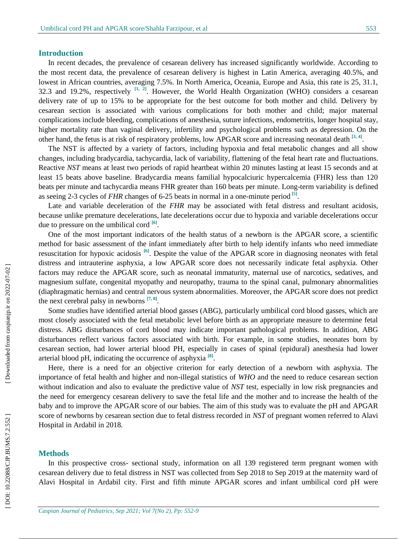# **Introduction**

In recent decades, the prevalence of cesarean delivery has increased significantly worldwide. According to the most recent data, the prevalence of cesarean delivery is highest in Latin America, averaging 40.5%, and lowest in African countries, averaging 7.5%. In North America, Oceania, Europe and Asia, this rate is 25, 31.1, 32.3 and 19.2%, respectively **[1, 2]**. However, the World Health Organization (WHO) considers a cesarean delivery rate of up to 15% to be appropriate for the best outcome for both mother and child. Delivery by cesarean section is associated with various complications for both mother and child; major maternal complications include bleeding, complications of anesthesia, suture infections, endometritis, longer hospital stay, higher mortality rate than vaginal delivery, infertility and psychological problems such as depression. On the other hand, the fetus is at risk of respiratory problems, low APGAR score and increasing neonatal death <sup>[3, 4]</sup>.

The NST is affected by a variety of factors, including hypoxia and fetal metabolic changes and all show changes, including bradycardia, tachycardia, lack of variability, flattening of the fetal heart rate and fluctuations. Reactive *NST* means at least two periods of rapid heartbeat within 20 minutes lasting at least 15 seconds and at least 15 beats above baseline. Bradycardia means familial hypocalciuric hypercalcemia (FHR) less than 120 beats per minute and tachycardia means FHR greater than 160 beats per minute. Long-term variability is defined as seeing 2-3 cycles of *FHR* changes of 6-25 beats in normal in a one-minute period<sup>[5]</sup>.

Late and variable deceleration of the *FHR* may be associated with fetal distress and resultant acidosis, because unlike premature decelerations, late decelerations occur due to hypoxia and variable decelerations occur due to pressure on the umbilical cord **[6]** .

One of the most important indicators of the health status of a newborn is the APGAR score, a scientific method for basic assessment of the infant immediately after birth to help identify infants who need immediate resuscitation for hypoxic acidosis **[6]** . Despite the value of the APGAR score in diagnosing neonates with fetal distress and intrauterine asphyxia, a low APGAR score does not necessarily indicate fetal asphyxia. Other factors may reduce the APGAR score, such as neonatal immaturity, maternal use of narcotics, sedatives, and magnesium sulfate, congenital myopathy and neuropathy, trauma to the spinal canal, pulmonary abnormalities (diaphragmatic hernias) and central nervous system abnormalities. Moreover, the APGAR score does not predict the next cerebral palsy in newborns **[7, 8]** .

Some studies have identified arterial blood gasses (ABG), particularly umbilical cord blood gasses, which are most closely associated with the fetal metabolic level before birth as an appropriate measure to determine fetal distress. ABG disturbances of cord blood may indicate important pathological problems. In addition, ABG disturbances reflect various factors associated with birth. For example, in some studies, neonates born by cesarean section, had lower arterial blood PH, especially in cases of spinal (epidural) anesthesia had lower arterial blood pH, indicating the occurrence of asphyxia **[8]** .

Here, there is a need for an objective criterion for early detection of a newborn with asphyxia. The importance of fetal health and higher and non -illegal statistics of *WHO* and the need to reduce cesarean section without indication and also to evaluate the predictive value of *NST* test, especially in low risk pregnancies and the need for emergency cesarean delivery to save the fetal life and the mother and to increase the health of the baby and to improve the APGAR score of our babies. The aim of this study was to evaluate the pH and APGAR score of newborns by cesarean section due to fetal distress recorded in *NST* of pregnant women referred to Alavi Hospital in Ardabil in 2018.

#### **Methods**

In this prospective cross - sectional study, information on all 139 registered term pregnant women with cesarean delivery due to fetal distress in NST was collected from Sep 2018 to Sep 2019 at the maternity ward of Alavi Hospital in Ardabil city. First and fifth minute APGAR scores and infant umbilical cord pH were

Downloaded from caspianjp.ir on 2022-07-02 ]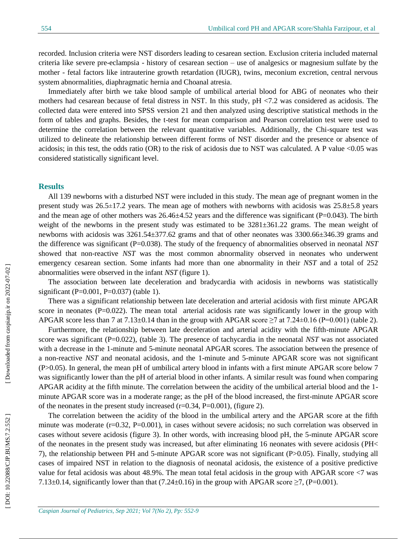recorded. Inclusion criteria were NST disorders leading to cesarean section. Exclusion criteria included maternal criteria like severe pre -eclampsia - history of cesarean section – use of analgesics or magnesium sulfate by the mother - fetal factors like intrauterine growth retardation (IUGR), twins, meconium excretion, central nervous system abnormalities, diaphragmatic hernia and Choanal atresia.

Immediately after birth we take blood sample of umbilical arterial blood for ABG of neonates who their mothers had cesarean because of fetal distress in NST. In this study, pH <7.2 was considered as acidosis . The collected data were entered into SPSS version 21 and then analyzed using descriptive statistical methods in the form of tables and graphs. Besides, the t -test for mean comparison and Pearson correlation test were used to determine the correlation between the relevant quantitative variables. Additionally, the Chi-square test was utilized to delineate the relationship between different forms of NST disorder and the presence or absence of acidosis; in this test, the odds ratio (OR) to the risk of acidosis due to NST was calculated. A P value <0.05 was considered statistically significant level.

#### **Results**

All 139 newborns with a disturbed NST were included in this study. The mean age of pregnant women in the present study was 26.5 ±17.2 years. The mean age of mothers with newborns with acidosis was 25.8±5.8 years and the mean age of other mothers was  $26.46\pm4.52$  years and the difference was significant (P=0.043). The birth weight of the newborns in the present study was estimated to be  $3281\pm361.22$  grams. The mean weight of newborns with acidosis was 3261.54±377.62 grams and that of other neonates was 3300.66±346.39 grams and the difference was significant (P=0.038). The study of the frequency of abnormalities observed in neonatal *NST* showed that non-reactive *NST* was the most common abnormality observed in neonates who underwent emergency cesarean section. Some infants had more than one abnormality in their *NST* and a total of 252 abnormalities were observed in the infant *NST* (figure 1).

The association between late deceleration and bradycardia with acidosis in newborns was statistically significant (P=0.001, P=0.037) (table 1).

There was a significant relationship between late deceleration and arterial acidosis with first minute APGAR score in neonates ( $P=0.022$ ). The mean total arterial acidosis rate was significantly lower in the group with APGAR score less than 7 at 7.13±0.14 than in the group with APGAR score  $\geq$ 7 at 7.24±0.16 (P=0.001) (table 2).

Furthermore, the relationship between late deceleration and arterial acidity with the fifth -minute APGAR score was significant (P=0.022) , (table 3). The presence of tachycardia in the neonatal *NST* was not associated with a decrease in the 1-minute and 5-minute neonatal APGAR scores. The association between the presence of a non -reactive *NST* and neonatal acidosis, and the 1 -minute and 5 -minute APGAR score was not significant (P>0.05). In general, the mean pH of umbilical artery blood in infants with a first minute APGAR score below 7 was significantly lower than the pH of arterial blood in other infants. A similar result was found when comparing APGAR acidity at the fifth minute. The correlation between the acidity of the umbilical arterial blood and the 1 minute APGAR score was in a moderate range; as the pH of the blood increased, the first -minute APGAR score of the neonates in the present study increased (r=0.34, P=0.001) , (figure 2).

The correlation between the acidity of the blood in the umbilical artery and the APGAR score at the fifth minute was moderate (r=0.32, P=0.001), in cases without severe acidosis; no such correlation was observed in cases without severe acidosis (figure 3). In other words, with increasing blood pH, the 5 -minute APGAR score of the neonates in the present study was increased, but after eliminating 16 neonates with severe acidosis (PH< 7), the relationship between PH and 5 -minute APGAR score was not significant (P>0.05). Finally, studying all cases of impaired NST in relation to the diagnosis of neonatal acidosis, the existence of a positive predictive value for fetal acidosis was about 48.9%. The mean total fetal acidosis in the group with APGAR score <7 was 7.13 $\pm$ 0.14, significantly lower than that (7.24 $\pm$ 0.16) in the group with APGAR score  $\geq$ 7, (P=0.001).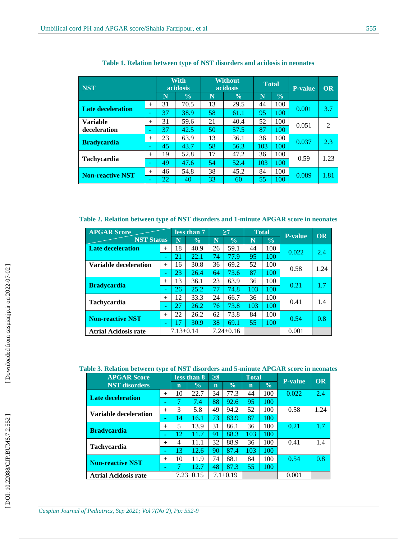| <b>NST</b>              |        |    | <b>With</b><br>acidosis |    | <b>Without</b><br>acidosis | <b>Total</b> |               | <b>P-value</b> | <b>OR</b>      |
|-------------------------|--------|----|-------------------------|----|----------------------------|--------------|---------------|----------------|----------------|
|                         |        | N  | $\frac{0}{0}$           | N  | $\frac{0}{0}$              | N            | $\frac{0}{0}$ |                |                |
| Late deceleration       | $^{+}$ | 31 | 70.5                    | 13 | 29.5                       | 44           | 100           |                | 3.7            |
|                         | ٠      | 37 | 38.9                    | 58 | 61.1                       | 95           | 100           | 0.001          |                |
| <b>Variable</b>         | $^{+}$ | 31 | 59.6                    | 21 | 40.4                       | 52           | 100           | 0.051          | $\overline{2}$ |
| deceleration            | ۰      | 37 | 42.5                    | 50 | 57.5                       | 87           | 100           |                |                |
| <b>Bradycardia</b>      | $^{+}$ | 23 | 63.9                    | 13 | 36.1                       | 36           | 100           | 0.037          | 2.3            |
|                         | ٠      | 45 | 43.7                    | 58 | 56.3                       | 103          | 100           |                |                |
| <b>Tachycardia</b>      | $^{+}$ | 19 | 52.8                    | 17 | 47.2                       | 36           | 100           | 0.59           | 1.23           |
|                         | ۰      | 49 | 47.6                    | 54 | 52.4                       | 103          | 100           |                |                |
| <b>Non-reactive NST</b> | $^{+}$ | 46 | 54.8                    | 38 | 45.2                       | 84           | 100           | 0.089          | 1.81           |
|                         | ۰      | 22 | 40                      | 33 | 60                         | 55           | 100           |                |                |

**Table 1 . Relation between type of NST disorders and acidosis in neonates**

**Table 2 . Relation between type of NST disorders and 1 -minute APGAR score in neonates**

| <b>APGAR Score</b>           |                 |    | less than 7     |    | >7            |     | <b>Total</b>  | <b>P-value</b> | <b>OR</b> |
|------------------------------|-----------------|----|-----------------|----|---------------|-----|---------------|----------------|-----------|
| <b>NST Status</b>            |                 | N  | $\frac{0}{0}$   | Ñ  | $\frac{0}{0}$ | N   | $\frac{0}{0}$ |                |           |
| <b>Late deceleration</b>     | $^{+}$          | 18 | 40.9            | 26 | 59.1          | 44  | 100           | 0.022          | 2.4       |
|                              | ٠               | 21 | 22.1            | 74 | 77.9          | 95  | 100           |                |           |
| <b>Variable deceleration</b> | $^{+}$          | 16 | 30.8            | 36 | 69.2          | 52  | 100           | 0.58           | 1.24      |
|                              | ٠               | 23 | 26.4            | 64 | 73.6          | 87  | 100           |                |           |
| <b>Bradycardia</b>           | $^{+}$          | 13 | 36.1            | 23 | 63.9          | 36  | 100           | 0.21           | 1.7       |
|                              | ٠               | 26 | 25.2            | 77 | 74.8          | 103 | 100           |                |           |
| <b>Tachycardia</b>           | $^{+}$          | 12 | 33.3            | 24 | 66.7          | 36  | 100           | 0.41           | 1.4       |
|                              | ٠               | 27 | 26.2            | 76 | 73.8          | 103 | 100           |                |           |
|                              | $+$             | 22 | 26.2            | 62 | 73.8          | 84  | 100           | 0.54           | 0.8       |
| <b>Non-reactive NST</b>      | ٠               | 17 | 30.9            | 38 | 69.1          | 55  | 100           |                |           |
| <b>Atrial Acidosis rate</b>  | $7.13 \pm 0.14$ |    | $7.24 \pm 0.16$ |    |               |     | 0.001         |                |           |

**Table 3 . Relation between type of NST disorders and 5 -minute APGAR score in neonates**

| v r<br><b>APGAR Score</b><br><b>NST</b> disorders |     | less than 8     |               | $\geq 8$       |               | <b>Total</b> |               | <b>P-value</b> | <b>OR</b> |
|---------------------------------------------------|-----|-----------------|---------------|----------------|---------------|--------------|---------------|----------------|-----------|
|                                                   |     | $\mathbf n$     | $\frac{0}{0}$ | $\mathbf n$    | $\frac{0}{0}$ | $\mathbf n$  | $\frac{0}{0}$ |                |           |
| <b>Late deceleration</b>                          |     | 10              | 22.7          | 34             | 77.3          | 44           | 100           | 0.022          | 2.4       |
|                                                   | ۰   |                 | 7.4           | 88             | 92.6          | 95           | 100           |                |           |
| <b>Variable deceleration</b>                      | $+$ | 3               | 5.8           | 49             | 94.2          | 52           | 100           | 0.58           | 1.24      |
|                                                   | ۰   | 14              | 16.1          | 73             | 83.9          | 87           | 100           |                |           |
|                                                   | $+$ | 5               | 13.9          | 31             | 86.1          | 36           | 100           | 0.21           | 1.7       |
| <b>Bradycardia</b>                                | ٠   | 12              | 11.7          | 91             | 88.3          | 103          | 100           |                |           |
| <b>Tachycardia</b>                                | $+$ | 4               | 11.1          | 32             | 88.9          | 36           | 100           | 0.41           | 1.4       |
|                                                   | ۰   | 13              | 12.6          | 90             | 87.4          | 103          | 100           |                |           |
| <b>Non-reactive NST</b>                           | $+$ | 10              | 11.9          | 74             | 88.1          | 84           | 100           | 0.54           | 0.8       |
|                                                   | ٠   |                 | 12.7          | 48             | 87.3          | 55           | 100           |                |           |
| <b>Atrial Acidosis rate</b>                       |     | $7.23 \pm 0.15$ |               | $7.1 \pm 0.19$ |               |              |               | 0.001          |           |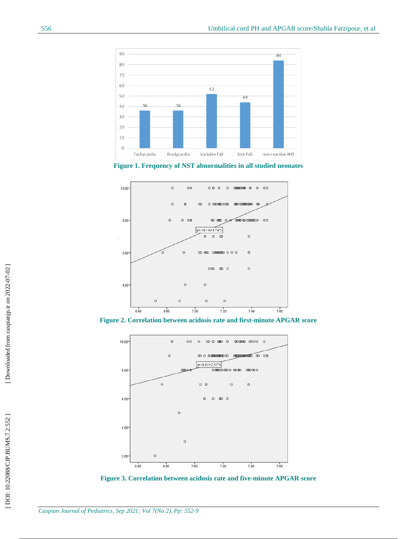





**Figure 2 . Correlation between acidosis rate and first -minute APGAR score**



**Figure 3 . Correlation between acidosis rate and five -minute APGAR score**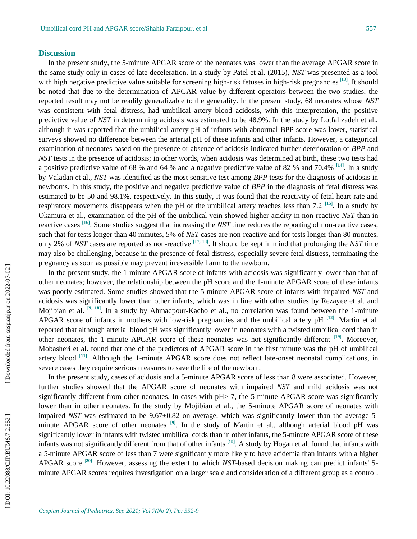#### **Discussion**

In the present study, the 5-minute APGAR score of the neonates was lower than the average APGAR score in the same study only in cases of late deceleration. In a study by Patel et al. (2015), *NST* was presented as a tool with high negative predictive value suitable for screening high-risk fetuses in high-risk pregnancies<sup>[13]</sup>. It should be noted that due to the determination of APGAR value by different operators between the two studies, the reported result may not be readily generalizable to the generality. In the present study, 68 neonates whose *NST* was consistent with fetal distress, had umbilical artery blood acidosis, with this interpretation, the positive predictive value of *NST* in determining acidosis was estimated to be 48.9%. In the study by Lotfalizadeh et al., although it was reported that the umbilical artery pH of infants with abnormal BPP score was lower, statistical surveys showed no difference between the arterial pH of these infants and other infants. However, a categorical examination of neonates based on the presence or absence of acidosis indicated further deterioration of *BPP* and *NST* tests in the presence of acidosis; in other words, when acidosis was determined at birth, these two tests had a positive predictive value of 68 % and 64 % and a negative predictive value of 82 % and 70.4% **[14]**. In a study by Valadan et al., *NST* was identified as the most sensitive test among *BPP* tests for the diagnosis of acidosis in newborns. In this study, the positive and negative predictive value of *BPP* in the diagnosis of fetal distress was estimated to be 50 and 98.1%, respectively. In this study, it was found that the reactivity of fetal heart rate and respiratory movements disappears when the pH of the umbilical artery reaches less than 7.2 **[15]**. In a study by Okamura et al., examination of the pH of the umbilical vein showed higher acidity in non -reactive *NST* than in reactive cases <sup>[16]</sup>. Some studies suggest that increasing the *NST* time reduces the reporting of non-reactive cases, such that for tests longer than 40 minutes, 5% of *NST* cases are non-reactive and for tests longer than 80 minutes, only 2% of *NST* cases are reported as non -reactive **[17, 18]**. It should be kept in mind that prolonging the *NST* time may also be challenging, because in the presence of fetal distress, especially severe fetal distress, terminating the pregnancy as soon as possible may prevent irreversible harm to the newborn.

In the present study, the 1 -minute APGAR score of infants with acidosis was significantly lower than that of other neonates; however, the relationship between the pH score and the 1 -minute APGAR score of these infants was poorly estimated. Some studies showed that the 5 -minute APGAR score of infants with impaired *NST* and acidosis was significantly lower than other infants, which was in line with other studies by Rezayee et al. and Mojibian et al. <sup>[9, 18]</sup>. In a study by Ahmadpour-Kacho et al., no correlation was found between the 1-minute APGAR score of infants in mothers with low-risk pregnancies and the umbilical artery pH <sup>[12]</sup>. Martin et al. reported that although arterial blood pH was significantly lower in neonates with a twisted umbilical cord than in other neonates, the 1 -minute APGAR score of these neonates was not significantly different **[19]**. Moreover, Mobasheri et al. found that one of the predictors of APGAR score in the first minute was the pH of umbilical artery blood <sup>[11]</sup>. Although the 1-minute APGAR score does not reflect late-onset neonatal complications, in severe cases they require serious measures to save the life of the newborn.

In the present study, cases of acidosis and a 5-minute APGAR score of less than 8 were associated. However, further studies showed that the APGAR score of neonates with impaired *NST* and mild acidosis was not significantly different from other neonates. In cases with pH $>$  7, the 5-minute APGAR score was significantly lower than in other neonates. In the study by Mojibian et al., the 5-minute APGAR score of neonates with impaired *NST* was estimated to be 9.67±0.82 on average, which was significantly lower than the average 5minute APGAR score of other neonates **[9]**. In the study of Martin et al., although arterial blood pH was significantly lower in infants with twisted umbilical cords than in other infants, the 5 -minute APGAR score of these infants was not significantly different from that of other infants **[19]**. A study by Hogan et al. found that infants with a 5 -minute APGAR score of less than 7 were significantly more likely to have acidemia than infants with a higher APGAR score <sup>[20]</sup>. However, assessing the extent to which *NST*-based decision making can predict infants' 5minute APGAR scores requires investigation on a larger scale and consideration of a different group as a control .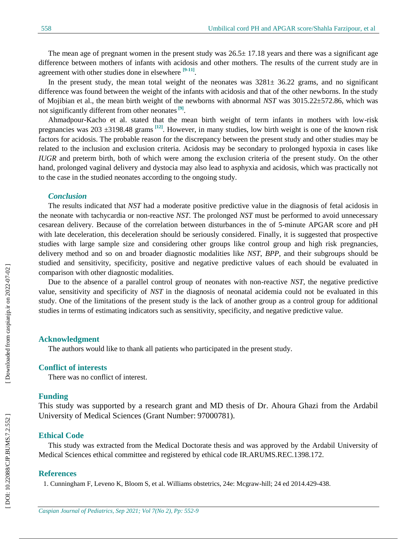The mean age of pregnant women in the present study was  $26.5 \pm 17.18$  years and there was a significant age difference between mothers of infants with acidosis and other mothers. The results of the current study are in agreement with other studies done in elsewhere **[9 -11]** .

In the present study, the mean total weight of the neonates was  $3281 \pm 36.22$  grams, and no significant difference was found between the weight of the infants with acidosis and that of the other newborns. In the study of Mojibian et al., the mean birth weight of the newborns with abnormal *NST* was 3015.22±572.86, which was not significantly different from other neonates<sup>[9]</sup>.

Ahmadpour -Kacho et al. stated that the mean birth weight of term infants in mothers with low -risk pregnancies was 203 ±3198.48 gram s **[12]**. However, in many studies, low birth weight is one of the known risk factors for acidosis. The probable reason for the discrepancy between the present study and other studies may be related to the inclusion and exclusion criteria. Acidosis may be secondary to prolonged hypoxia in cases like *IUGR* and preterm birth, both of which were among the exclusion criteria of the present study. On the other hand, prolonged vaginal delivery and dystocia may also lead to asphyxia and acidosis, which was practically not to the case in the studied neonates according to the ongoing study.

#### *Conclusion*

The results indicated that *NST* had a moderate positive predictive value in the diagnosis of fetal acidosis in the neonate with tachycardia or non -reactive *NST.* The prolonged *NST* must be performed to avoid unnecessary cesarean delivery. Because of the correlation between disturbances in the of 5 -minute APGAR score and pH with late deceleration, this deceleration should be seriously considered. Finally, it is suggested that prospective studies with large sample size and considering other groups like control group and high risk pregnancies, delivery method and so on and broader diagnostic modalities like *NST*, *BPP*, and their subgroups should be studied and sensitivity, specificity, positive and negative predictive values of each should be evaluated in comparison with other diagnostic modalities.

Due to the absence of a parallel control group of neonates with non -reactive *NST*, the negative predictive value, sensitivity and specificity of *NST* in the diagnosis of neonatal acidemia could not be evaluated in this study. One of the limitations of the present study is the lack of another group as a control group for additional studies in terms of estimating indicators such as sensitivity, specificity, and negative predictive value.

#### **Acknowledgment**

The authors would like to thank all patients who participated in the present study.

### **Conflict of interests**

There was no conflict of interest .

# **Funding**

This study was supported by a research grant and MD thesis of Dr . Ahoura Ghazi from the Ardabil University of Medical Sciences (Grant Number: 97000781).

### **Ethical Code**

This study was extracted from the Medical Doctorate thesis and was approved by the Ardabil University of Medical Sciences ethical committee and registered by ethical code IR.ARUMS.REC.1398.172.

# **References**

1. Cunningham F, Leveno K, Bloom S, et al. Williams obstetrics, 24e: Mcgraw -hill; 24 ed 2014.429 -438.